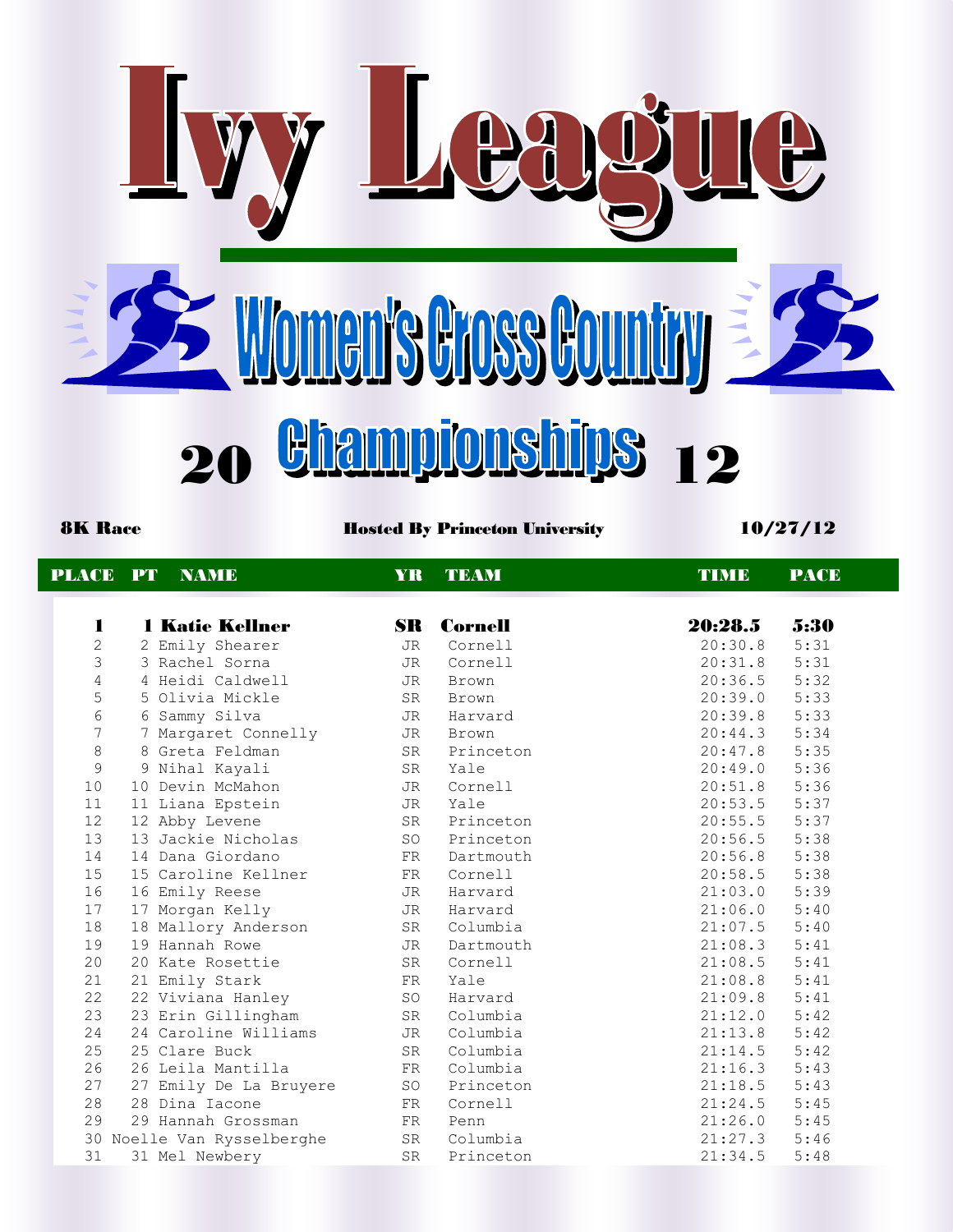

8K Race **Hosted By Princeton University** 10/27/12

| <b>PLACE PT</b>   | <b>NAMIE</b>               | YR.       | <b>TEAM</b>       | <b>TIME</b>    | <b>PACE</b> |
|-------------------|----------------------------|-----------|-------------------|----------------|-------------|
|                   |                            |           |                   |                |             |
| $\mathbf{I}$      | <b>1 Katie Kellner</b>     |           | <b>SR</b> Cornell | 20:28.5        | 5:30        |
| $\overline{2}$    | 2 Emily Shearer            | JR        | Cornell           | 20:30.8        | 5:31        |
| 3                 | 3 Rachel Sorna             | JR        | Cornell           | 20:31.8        | 5:31        |
| $\sqrt{4}$        | 4 Heidi Caldwell           | JR        | Brown             | 20:36.5        | 5:32        |
| 5                 | 5 Olivia Mickle            | SR        | <b>Brown</b>      | 20:39.0        | 5:33        |
| $\epsilon$        | 6 Sammy Silva              | JR        | Harvard           | 20:39.8        | 5:33        |
| $\overline{7}$    | 7 Margaret Connelly        | JR        | Brown             | 20:44.3        | 5:34        |
| $\,8\,$           | 8 Greta Feldman            | SR        | Princeton         | $20:47.8$ 5:35 |             |
| 9                 | 9 Nihal Kayali             | SR        | Yale              | 20:49.0        | 5:36        |
| 10                | 10 Devin McMahon           | JR        | Cornell           | 20:51.8        | 5:36        |
| 11                | 11 Liana Epstein           | JR        | Yale              | 20:53.5        | 5:37        |
| $12 \overline{ }$ | 12 Abby Levene             | SR        | Princeton         | 20:55.5        | 5:37        |
| 13                | 13 Jackie Nicholas         | SO        | Princeton         | 20:56.5        | 5:38        |
| 14                | 14 Dana Giordano           | FR        | Dartmouth         | 20:56.8        | 5:38        |
| 15                | 15 Caroline Kellner        | FR        | Cornell           | 20:58.5        | 5:38        |
| 16                | 16 Emily Reese             | JR        | Harvard           | 21:03.0        | 5:39        |
| 17                | 17 Morgan Kelly            | JR        | Harvard           | 21:06.0        | 5:40        |
| 18                | 18 Mallory Anderson        | SR        | Columbia          | 21:07.5        | 5:40        |
| 19                | 19 Hannah Rowe             | JR        | Dartmouth         | $21:08.3$ 5:41 |             |
| 20                | 20 Kate Rosettie           | SR        | Cornell           | $21:08.5$ 5:41 |             |
| 21                | 21 Emily Stark             | FR        | Yale              | 21:08.8        | 5:41        |
| 22                | 22 Viviana Hanley          | SO        | Harvard           | 21:09.8        | 5:41        |
| 23                | 23 Erin Gillingham         | SR        | Columbia          | 21:12.0        | 5:42        |
| 24                | 24 Caroline Williams       | JR        | Columbia          | 21:13.8        | 5:42        |
| 25                | 25 Clare Buck              | SR        | Columbia          | 21:14.5        | 5:42        |
| 26                | 26 Leila Mantilla          | FR        | Columbia          | 21:16.3        | 5:43        |
| 27                | 27 Emily De La Bruyere     | SO        | Princeton         | 21:18.5        | 5:43        |
| 28                | 28 Dina Iacone             | FR        | Cornell           | 21:24.5        | 5:45        |
| 29                | 29 Hannah Grossman         | FR        | Penn              | 21:26.0        | 5:45        |
|                   | 30 Noelle Van Rysselberghe | SR        | Columbia          | 21:27.3        | 5:46        |
| 31                | 31 Mel Newbery             | <b>SR</b> | Princeton         | 21:34.5        | 5:48        |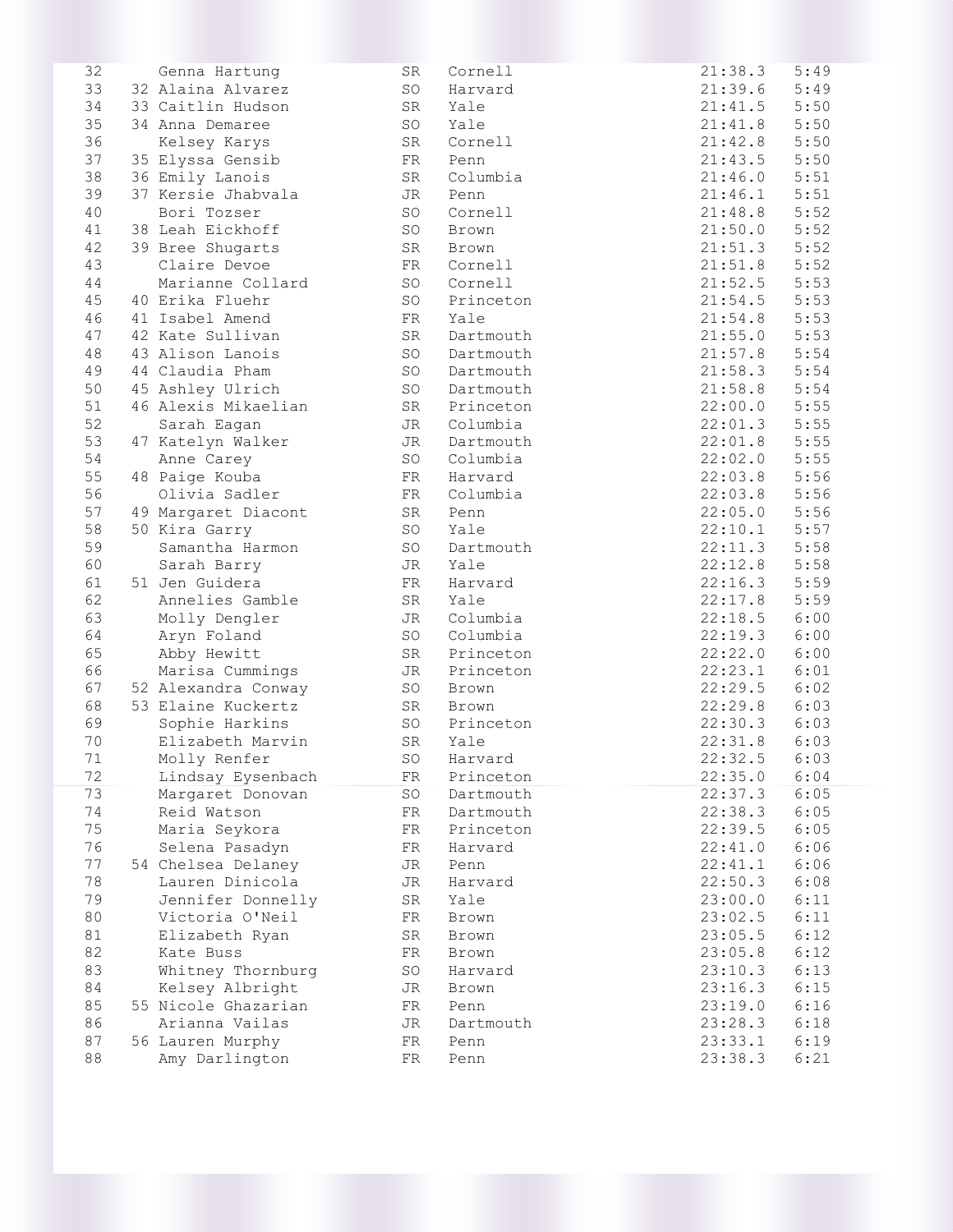| 32 | Genna Hartung       | SR | Cornell      | 21:38.3 | 5:49 |
|----|---------------------|----|--------------|---------|------|
| 33 | 32 Alaina Alvarez   | SO | Harvard      | 21:39.6 | 5:49 |
| 34 | 33 Caitlin Hudson   | SR | Yale         | 21:41.5 | 5:50 |
| 35 | 34 Anna Demaree     | SO | Yale         | 21:41.8 | 5:50 |
| 36 | Kelsey Karys        | SR | Cornell      | 21:42.8 | 5:50 |
| 37 | 35 Elyssa Gensib    | FR | Penn         | 21:43.5 | 5:50 |
| 38 | 36 Emily Lanois     | SR | Columbia     | 21:46.0 | 5:51 |
| 39 | 37 Kersie Jhabvala  | JR | Penn         | 21:46.1 | 5:51 |
| 40 | Bori Tozser         | SO | Cornell      | 21:48.8 | 5:52 |
| 41 | 38 Leah Eickhoff    | SO | Brown        | 21:50.0 | 5:52 |
| 42 | 39 Bree Shugarts    | SR | Brown        | 21:51.3 | 5:52 |
| 43 | Claire Devoe        | FR | Cornell      | 21:51.8 | 5:52 |
| 44 | Marianne Collard    | SO | Cornell      | 21:52.5 | 5:53 |
| 45 | 40 Erika Fluehr     | SO | Princeton    | 21:54.5 | 5:53 |
| 46 | 41 Isabel Amend     | FR | Yale         | 21:54.8 | 5:53 |
| 47 |                     | SR |              | 21:55.0 | 5:53 |
|    | 42 Kate Sullivan    |    | Dartmouth    |         |      |
| 48 | 43 Alison Lanois    | SO | Dartmouth    | 21:57.8 | 5:54 |
| 49 | 44 Claudia Pham     | SO | Dartmouth    | 21:58.3 | 5:54 |
| 50 | 45 Ashley Ulrich    | SO | Dartmouth    | 21:58.8 | 5:54 |
| 51 | 46 Alexis Mikaelian |    | SR Princeton | 22:00.0 | 5:55 |
| 52 | Sarah Eagan         | JR | Columbia     | 22:01.3 | 5:55 |
| 53 | 47 Katelyn Walker   | JR | Dartmouth    | 22:01.8 | 5:55 |
| 54 | Anne Carey          | SO | Columbia     | 22:02.0 | 5:55 |
| 55 | 48 Paige Kouba      | FR | Harvard      | 22:03.8 | 5:56 |
| 56 | Olivia Sadler       | FR | Columbia     | 22:03.8 | 5:56 |
| 57 | 49 Margaret Diacont | SR | Penn         | 22:05.0 | 5:56 |
| 58 | 50 Kira Garry       | SO | Yale         | 22:10.1 | 5:57 |
| 59 | Samantha Harmon     | SO | Dartmouth    | 22:11.3 | 5:58 |
| 60 | Sarah Barry         | JR | Yale         | 22:12.8 | 5:58 |
| 61 | 51 Jen Guidera      | FR | Harvard      | 22:16.3 | 5:59 |
| 62 | Annelies Gamble     | SR | Yale         | 22:17.8 | 5:59 |
| 63 | Molly Dengler       | JR | Columbia     | 22:18.5 | 6:00 |
| 64 | Aryn Foland         | SO | Columbia     | 22:19.3 | 6:00 |
| 65 | Abby Hewitt         | SR | Princeton    | 22:22.0 | 6:00 |
| 66 | Marisa Cummings     | JR | Princeton    | 22:23.1 | 6:01 |
| 67 | 52 Alexandra Conway | SO | Brown        | 22:29.5 | 6:02 |
| 68 | 53 Elaine Kuckertz  | SR | Brown        | 22:29.8 | 6:03 |
| 69 | Sophie Harkins      | SO | Princeton    | 22:30.3 | 6:03 |
| 70 | Elizabeth Marvin    | SR | Yale         | 22:31.8 | 6:03 |
| 71 | Molly Renfer        | SO | Harvard      | 22:32.5 | 6:03 |
| 72 | Lindsay Eysenbach   | FR | Princeton    | 22:35.0 | 6:04 |
| 73 | Margaret Donovan    | SO | Dartmouth    | 22:37.3 | 6:05 |
| 74 | Reid Watson         | FR | Dartmouth    | 22:38.3 | 6:05 |
| 75 | Maria Seykora       | FR | Princeton    | 22:39.5 | 6:05 |
| 76 | Selena Pasadyn      | FR | Harvard      | 22:41.0 | 6:06 |
| 77 | 54 Chelsea Delaney  |    |              | 22:41.1 | 6:06 |
|    |                     | JR | Penn         |         |      |
| 78 | Lauren Dinicola     | JR | Harvard      | 22:50.3 | 6:08 |
| 79 | Jennifer Donnelly   | SR | Yale         | 23:00.0 | 6:11 |
| 80 | Victoria O'Neil     | FR | Brown        | 23:02.5 | 6:11 |
| 81 | Elizabeth Ryan      | SR | Brown        | 23:05.5 | 6:12 |
| 82 | Kate Buss           | FR | Brown        | 23:05.8 | 6:12 |
| 83 | Whitney Thornburg   | SO | Harvard      | 23:10.3 | 6:13 |
| 84 | Kelsey Albright     | JR | Brown        | 23:16.3 | 6:15 |
| 85 | 55 Nicole Ghazarian | FR | Penn         | 23:19.0 | 6:16 |
| 86 | Arianna Vailas      | JR | Dartmouth    | 23:28.3 | 6:18 |
| 87 | 56 Lauren Murphy    | FR | Penn         | 23:33.1 | 6:19 |
| 88 | Amy Darlington      | FR | Penn         | 23:38.3 | 6:21 |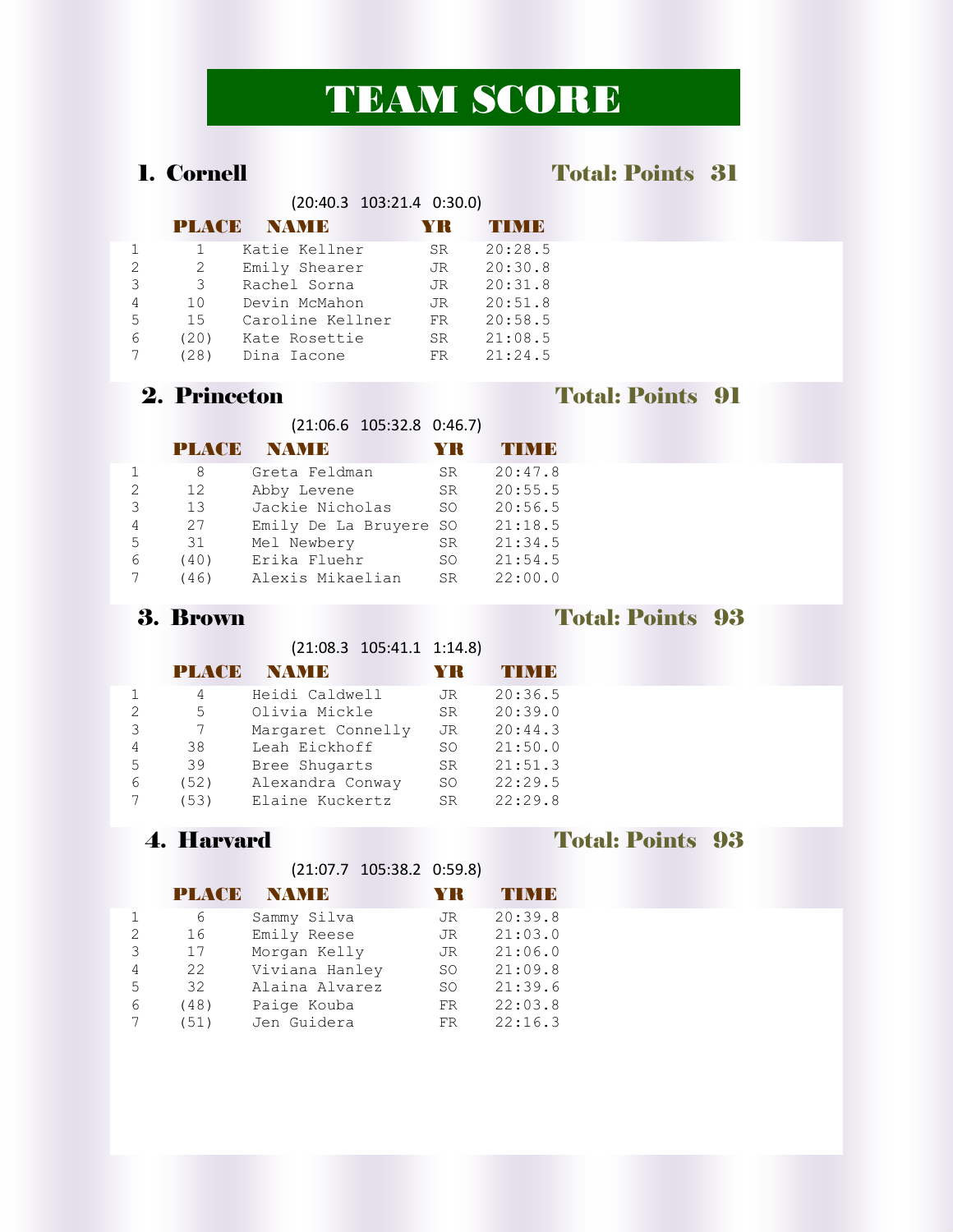# TEAM SCORE

### 1. Cornell Total: Points 31

|               |              | $(20:40.3 \t103:21.4 \t0:30.0)$ |     |              |
|---------------|--------------|---------------------------------|-----|--------------|
|               | <b>PLACD</b> | <b>NAMB</b>                     |     | <b>THEFT</b> |
|               |              | Katie Kellner                   | SR. | 20:28.5      |
| $\mathcal{P}$ | 2            | Emily Shearer                   | JR  | 20:30.8      |
| 3             | 3            | Rachel Sorna                    | JR  | 20:31.8      |
| 4             | 10           | Devin McMahon                   | JR. | 20:51.8      |
| 5             | 15           | Caroline Kellner                | FR. | 20:58.5      |
| 6             | (20)         | Kate Rosettie                   | SR. | 21:08.5      |
|               | 281          | Dina Iacone                     | FR. | 21:24.5      |

### 2. Princeton Total: Points 91

|                   | $(21:06.6 \t105:32.8 \t0:46.7)$ |                |
|-------------------|---------------------------------|----------------|
| <b>PLACE NAME</b> |                                 | <b>YR TIME</b> |

|               | 8    | Greta Feldman          | SR. | 20:47.8 |
|---------------|------|------------------------|-----|---------|
| $\mathcal{L}$ | 12   | Abby Levene            | SR. | 20:55.5 |
| 3             | 13   | Jackie Nicholas        | SO. | 20:56.5 |
| 4             | 27   | Emily De La Bruyere SO |     | 21:18.5 |
| 5             | 31   | Mel Newbery            | SR. | 21:34.5 |
| 6             | (40) | Erika Fluehr           | SO. | 21:54.5 |
|               | (46) | Alexis Mikaelian       | SR. | 22:00.0 |

### 3. Brown Total: Points 93

(21:08.3 105:41.1 1:14.8)

|   | <b>PLAYED</b> | <b>NAMB</b>       | YK        | THME    |
|---|---------------|-------------------|-----------|---------|
|   | 4             | Heidi Caldwell    | JR        | 20:36.5 |
| 2 | 5             | Olivia Mickle     | SR.       | 20:39.0 |
| 3 |               | Margaret Connelly | JR        | 20:44.3 |
| 4 | 38            | Leah Eickhoff     | SO.       | 21:50.0 |
| 5 | 39            | Bree Shugarts     | SR.       | 21:51.3 |
| 6 | (52)          | Alexandra Conway  | SO.       | 22:29.5 |
|   | (53)          | Elaine Kuckertz   | <b>SR</b> | 22:29.8 |

(21:07.7 105:38.2 0:59.8)

|               | PLACE | <b>NAMB</b>    |     |         |
|---------------|-------|----------------|-----|---------|
|               | 6     | Sammy Silva    | JR  | 20:39.8 |
| $\mathcal{P}$ | 16    | Emily Reese    | JR. | 21:03.0 |
| 3             | 17    | Morgan Kelly   | JR. | 21:06.0 |
| 4             | 22    | Viviana Hanley | SO. | 21:09.8 |
| 5             | 32    | Alaina Alvarez | SO. | 21:39.6 |
| 6             | (48)  | Paige Kouba    | FR  | 22:03.8 |
|               | (51)  | Jen Guidera    | FR  | 22:16.3 |

### 4. Harvard Total: Points 93